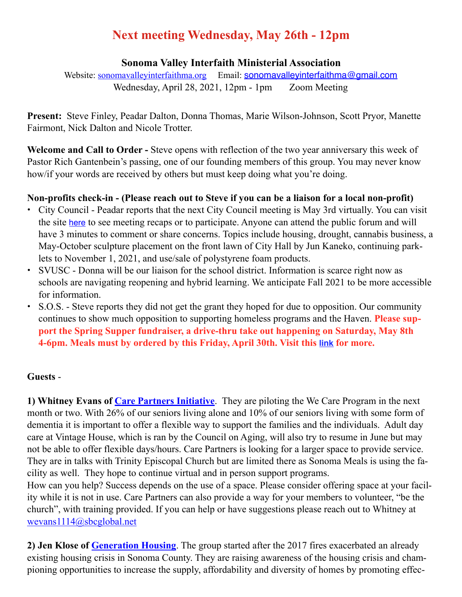# **Next meeting Wednesday, May 26th - 12pm**

#### **Sonoma Valley Interfaith Ministerial Association**

Website: [sonomavalleyinterfaithma.org](http://sonomavalleyinterfaithma.org) Email: [sonomavalleyinterfaithma@gmail.com](mailto:sonomavalleyinterfaithma@gmail.com) Wednesday, April 28, 2021, 12pm - 1pm Zoom Meeting

**Present:** Steve Finley, Peadar Dalton, Donna Thomas, Marie Wilson-Johnson, Scott Pryor, Manette Fairmont, Nick Dalton and Nicole Trotter.

**Welcome and Call to Order -** Steve opens with reflection of the two year anniversary this week of Pastor Rich Gantenbein's passing, one of our founding members of this group. You may never know how/if your words are received by others but must keep doing what you're doing.

## **Non-profits check-in - (Please reach out to Steve if you can be a liaison for a local non-profit)**

- **•** City Council Peadar reports that the next City Council meeting is May 3rd virtually. You can visit the site [here](https://www.sonomacity.org/departments/city-council/) to see meeting recaps or to participate. Anyone can attend the public forum and will have 3 minutes to comment or share concerns. Topics include housing, drought, cannabis business, a May-October sculpture placement on the front lawn of City Hall by Jun Kaneko, continuing parklets to November 1, 2021, and use/sale of polystyrene foam products.
- **•** SVUSC Donna will be our liaison for the school district. Information is scarce right now as schools are navigating reopening and hybrid learning. We anticipate Fall 2021 to be more accessible for information.
- **•** S.O.S. Steve reports they did not get the grant they hoped for due to opposition. Our community continues to show much opposition to supporting homeless programs and the Haven. **Please support the Spring Supper fundraiser, a drive-thru take out happening on Saturday, May 8th 4-6pm. Meals must by ordered by this Friday, April 30th. Visit this [link](https://lp.constantcontactpages.com/cu/xIliRRe/SpringSupper21?fbclid=IwAR2Ng27gqQqr7PjmMbjC5ngfCkEhxCQtE40ZCB--GfvNPfwBQ9gf7z9kFLA) for more.**

## **Guests** -

**1) Whitney Evans of [Care Partners Initiative](https://carepartnersinitiative.org/)**. They are piloting the We Care Program in the next month or two. With 26% of our seniors living alone and 10% of our seniors living with some form of dementia it is important to offer a flexible way to support the families and the individuals. Adult day care at Vintage House, which is ran by the Council on Aging, will also try to resume in June but may not be able to offer flexible days/hours. Care Partners is looking for a larger space to provide service. They are in talks with Trinity Episcopal Church but are limited there as Sonoma Meals is using the facility as well. They hope to continue virtual and in person support programs.

How can you help? Success depends on the use of a space. Please consider offering space at your facility while it is not in use. Care Partners can also provide a way for your members to volunteer, "be the church", with training provided. If you can help or have suggestions please reach out to Whitney at [wevans1114@sbcglobal.net](mailto:wevans1114@sbcglobal.net)

**2) Jen Klose of [Generation Housing](https://generationhousing.org)**. The group started after the 2017 fires exacerbated an already existing housing crisis in Sonoma County. They are raising awareness of the housing crisis and championing opportunities to increase the supply, affordability and diversity of homes by promoting effec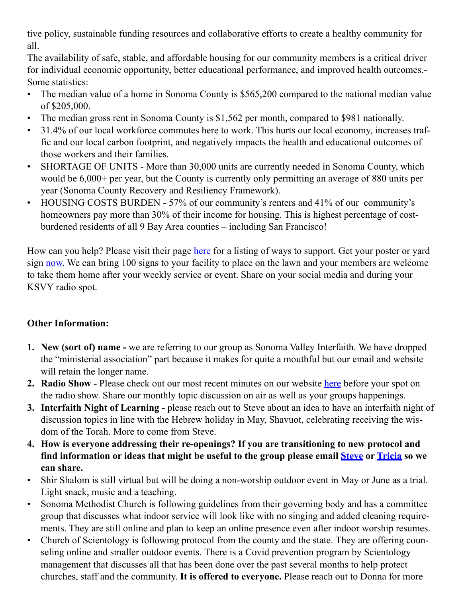tive policy, sustainable funding resources and collaborative efforts to create a healthy community for all.

The availability of safe, stable, and affordable housing for our community members is a critical driver for individual economic opportunity, better educational performance, and improved health outcomes.- Some statistics:

- The median value of a home in Sonoma County is \$565,200 compared to the national median value of \$205,000.
- The median gross rent in Sonoma County is \$1,562 per month, compared to \$981 nationally.
- 31.4% of our local workforce commutes here to work. This hurts our local economy, increases traffic and our local carbon footprint, and negatively impacts the health and educational outcomes of those workers and their families.
- SHORTAGE OF UNITS More than 30,000 units are currently needed in Sonoma County, which would be 6,000+ per year, but the County is currently only permitting an average of 880 units per year (Sonoma County Recovery and Resiliency Framework).
- HOUSING COSTS BURDEN 57% of our community's renters and 41% of our community's homeowners pay more than 30% of their income for housing. This is highest percentage of costburdened residents of all 9 Bay Area counties – including San Francisco!

How can you help? Please visit their page [here](https://generationhousing.org/take-action/) for a listing of ways to support. Get your poster or yard sign [now.](https://generationhousing.org/we-need-you/) We can bring 100 signs to your facility to place on the lawn and your members are welcome to take them home after your weekly service or event. Share on your social media and during your KSVY radio spot.

## **Other Information:**

- **1. New (sort of) name** we are referring to our group as Sonoma Valley Interfaith. We have dropped the "ministerial association" part because it makes for quite a mouthful but our email and website will retain the longer name.
- **2. Radio Show Please check out our most recent minutes on our website [here](https://www.sonomavalleyinterfaithma.org/minutes) before your spot on** the radio show. Share our monthly topic discussion on air as well as your groups happenings.
- **3. Interfaith Night of Learning** please reach out to Steve about an idea to have an interfaith night of discussion topics in line with the Hebrew holiday in May, Shavuot, celebrating receiving the wisdom of the Torah. More to come from Steve.
- **4. How is everyone addressing their re-openings? If you are transitioning to new protocol and find information or ideas that might be useful to the group please email [Steve](mailto:sonomavalleyinterfaithma@gmail.com) or [Tricia](mailto:tricia.shirshalom@gmail.com) so we can share.**
- Shir Shalom is still virtual but will be doing a non-worship outdoor event in May or June as a trial. Light snack, music and a teaching.
- Sonoma Methodist Church is following guidelines from their governing body and has a committee group that discusses what indoor service will look like with no singing and added cleaning requirements. They are still online and plan to keep an online presence even after indoor worship resumes.
- Church of Scientology is following protocol from the county and the state. They are offering counseling online and smaller outdoor events. There is a Covid prevention program by Scientology management that discusses all that has been done over the past several months to help protect churches, staff and the community. **It is offered to everyone.** Please reach out to Donna for more